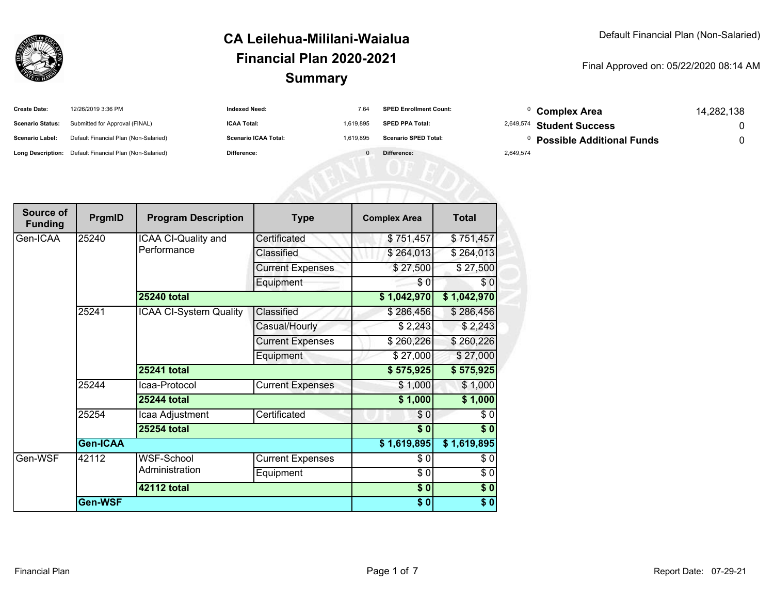

Final Approved on: 05/22/2020 08:14 AM

| <b>Create Date:</b>     | 12/26/2019 3:36 PM                                      | <b>Indexed Need:</b>        | 7.64      | <b>SPED Enrollment Count:</b> |           | <b>Complex Area</b>                  | 14,282,138 |
|-------------------------|---------------------------------------------------------|-----------------------------|-----------|-------------------------------|-----------|--------------------------------------|------------|
| <b>Scenario Status:</b> | Submitted for Approval (FINAL)                          | <b>ICAA Total:</b>          | 1.619.895 | <b>SPED PPA Total:</b>        |           | <sup>2,649,574</sup> Student Success |            |
| <b>Scenario Label:</b>  | Default Financial Plan (Non-Salaried)                   | <b>Scenario ICAA Total:</b> | 1.619.895 | <b>Scenario SPED Total:</b>   |           | <b>Possible Additional Funds</b>     |            |
|                         | Long Description: Default Financial Plan (Non-Salaried) | Difference:                 |           | Difference:                   | 2,649,574 |                                      |            |
|                         |                                                         |                             |           |                               |           |                                      |            |

| Source of<br><b>Funding</b> | PrgmID          | <b>Program Description</b>    | <b>Type</b>             | <b>Complex Area</b> | <b>Total</b>    |
|-----------------------------|-----------------|-------------------------------|-------------------------|---------------------|-----------------|
| Gen-ICAA                    | 25240           | ICAA CI-Quality and           | Certificated            | \$751,457           | \$751,457       |
|                             |                 | Performance                   | Classified              | \$264,013           | \$264,013       |
|                             |                 |                               | <b>Current Expenses</b> | \$27,500            | $\sqrt{27,500}$ |
|                             |                 |                               | Equipment               | \$0                 | \$0             |
|                             |                 | <b>25240 total</b>            |                         | \$1,042,970         | \$1,042,970     |
|                             | 25241           | <b>ICAA CI-System Quality</b> | Classified              | \$286,456           | \$286,456       |
|                             |                 |                               | Casual/Hourly           | \$2,243             | \$2,243         |
|                             |                 |                               | <b>Current Expenses</b> | \$260,226           | \$260,226       |
|                             |                 |                               | Equipment               | \$27,000            | \$27,000        |
|                             |                 | 25241 total                   |                         | \$575,925           | \$575,925       |
|                             | 25244           | Icaa-Protocol                 | <b>Current Expenses</b> | \$1,000             | \$1,000         |
|                             |                 | <b>25244 total</b>            |                         | \$1,000             | \$1,000         |
|                             | 25254           | Icaa Adjustment               | Certificated            | \$0                 | \$0             |
|                             |                 | <b>25254 total</b>            |                         | $\sqrt{6}$          | $\sqrt{6}$      |
|                             | <b>Gen-ICAA</b> |                               |                         | \$1,619,895         | \$1,619,895     |
| Gen-WSF                     | 42112           | WSF-School                    | Current Expenses        | \$0                 | \$0             |
|                             |                 | Administration                | Equipment               | \$0                 | \$0             |
|                             |                 | <b>42112 total</b>            |                         | $\sqrt{6}$          | \$0             |
|                             | Gen-WSF         |                               |                         |                     | \$0             |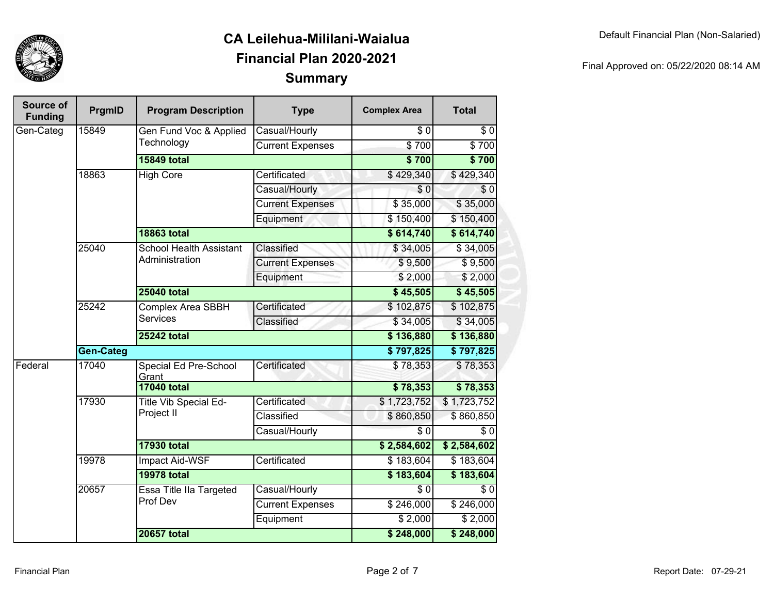

| Source of<br><b>Funding</b> | <b>PrgmID</b>    | <b>Program Description</b>     | <b>Type</b>                  | <b>Complex Area</b> | <b>Total</b>     |             |
|-----------------------------|------------------|--------------------------------|------------------------------|---------------------|------------------|-------------|
| Gen-Categ                   | 15849            | Gen Fund Voc & Applied         | Casual/Hourly                | \$0                 | $\overline{\$0}$ |             |
|                             |                  | Technology                     | <b>Current Expenses</b>      | \$700               | \$700            |             |
|                             |                  | <b>15849 total</b>             |                              | \$700               | \$700            |             |
|                             | 18863            | <b>High Core</b>               | Certificated                 | \$429,340           | \$429,340        |             |
|                             |                  |                                | Casual/Hourly                | $\overline{\$0}$    | \$0              |             |
|                             |                  |                                | <b>Current Expenses</b>      | \$35,000            | \$35,000         |             |
|                             |                  |                                | Equipment                    | \$150,400           | \$150,400        |             |
|                             |                  | <b>18863 total</b>             |                              | \$614,740           | \$614,740        |             |
|                             | 25040            | <b>School Health Assistant</b> | Classified                   | \$34,005            | \$34,005         |             |
|                             |                  | Administration                 | <b>Current Expenses</b>      | \$9,500             | \$9,500          |             |
|                             |                  |                                | Equipment                    | \$2,000             | \$2,000          |             |
|                             |                  | <b>25040 total</b>             |                              | \$45,505            | \$45,505         |             |
|                             | 25242            | <b>Complex Area SBBH</b>       | Certificated                 | \$102,875           | \$102,875        |             |
|                             |                  | <b>Services</b>                | Classified                   | \$34,005            | \$34,005         |             |
|                             |                  | <b>25242 total</b>             |                              | \$136,880           | \$136,880        |             |
|                             | <b>Gen-Categ</b> |                                | \$797,825                    | \$797,825           |                  |             |
| Federal                     | 17040            | Special Ed Pre-School<br>Grant | Certificated                 | \$78,353            | \$78,353         |             |
|                             |                  | <b>17040 total</b>             |                              | \$78,353            | \$78,353         |             |
|                             | 17930            |                                | <b>Title Vib Special Ed-</b> | Certificated        | \$1,723,752      | \$1,723,752 |
|                             |                  | Project II                     | Classified                   | \$860,850           | \$860,850        |             |
|                             |                  |                                | Casual/Hourly                | $\overline{\$0}$    | $\overline{\$0}$ |             |
|                             |                  | <b>17930 total</b>             |                              | \$2,584,602         | \$2,584,602      |             |
|                             | 19978            | <b>Impact Aid-WSF</b>          | Certificated                 | \$183,604           | \$183,604        |             |
|                             |                  | <b>19978 total</b>             |                              | \$183,604           | \$183,604        |             |
|                             | 20657            | <b>Essa Title Ila Targeted</b> | Casual/Hourly                | $\overline{\$0}$    | $\overline{\$0}$ |             |
|                             |                  | Prof Dev                       | <b>Current Expenses</b>      | \$246,000           | \$246,000        |             |
|                             |                  |                                | Equipment                    | \$2,000             | \$2,000          |             |
|                             |                  | <b>20657 total</b>             |                              | \$248,000           | \$248,000        |             |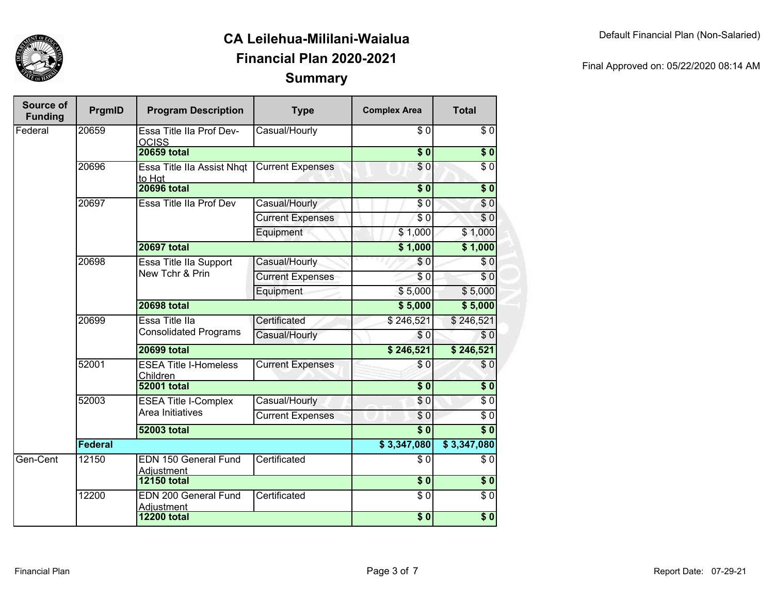

| Final Approved on: 05/22/2020 08:14 AM |  |
|----------------------------------------|--|
|                                        |  |

| Source of<br><b>Funding</b> | PrgmID  | <b>Program Description</b>                     | <b>Type</b>             | <b>Complex Area</b> | <b>Total</b>     |
|-----------------------------|---------|------------------------------------------------|-------------------------|---------------------|------------------|
| Federal                     | 20659   | Essa Title IIa Prof Dev-<br><b>OCISS</b>       | Casual/Hourly           | \$0                 | \$0              |
|                             |         | <b>20659 total</b>                             |                         | $\overline{\$}0$    | $\sqrt{6}$       |
|                             | 20696   | <b>Essa Title IIa Assist Nhqt</b><br>to Hat    | <b>Current Expenses</b> | $\overline{S}0$     | $\overline{\$0}$ |
|                             |         | <b>20696 total</b>                             |                         | $\overline{\$0}$    | $\overline{\$0}$ |
|                             | 20697   | Essa Title IIa Prof Dev                        | Casual/Hourly           | \$0                 | \$0              |
|                             |         |                                                | <b>Current Expenses</b> | $\sqrt{6}$          | $\overline{\$0}$ |
|                             |         |                                                | Equipment               | \$1,000             | \$1,000          |
|                             |         | <b>20697 total</b>                             |                         | \$1,000             | \$1,000          |
|                             | 20698   | Essa Title IIa Support                         | Casual/Hourly           | $\sqrt{6}$          | \$0              |
|                             |         | New Tchr & Prin                                | <b>Current Expenses</b> | \$0                 | \$0              |
|                             |         |                                                | Equipment               | \$5,000             | \$5,000          |
|                             |         | <b>20698 total</b>                             |                         | \$5,000             | \$5,000          |
|                             | 20699   | Essa Title Ila<br><b>Consolidated Programs</b> | Certificated            | \$246,521           | \$246,521        |
|                             |         |                                                | Casual/Hourly           | \$0                 | \$0              |
|                             |         | <b>20699 total</b>                             |                         | \$246,521           | \$246,521        |
|                             | 52001   | <b>ESEA Title I-Homeless</b><br>Children       | <b>Current Expenses</b> | \$0                 | \$0              |
|                             |         | <b>52001 total</b>                             |                         | $\overline{\$0}$    | $\overline{\$0}$ |
|                             | 52003   | <b>ESEA Title I-Complex</b>                    | Casual/Hourly           | \$0                 | $\sqrt{6}$       |
|                             |         | Area Initiatives                               | <b>Current Expenses</b> | \$0                 | $\overline{\$0}$ |
|                             |         | <b>52003 total</b>                             |                         |                     | $\overline{\$0}$ |
|                             | Federal |                                                |                         | \$3,347,080         | \$3,347,080      |
| Gen-Cent                    | 12150   | <b>EDN 150 General Fund</b><br>Adjustment      | Certificated            | \$0                 | \$0              |
|                             |         | <b>12150 total</b>                             |                         | $\overline{\$0}$    | $\sqrt{6}$       |
|                             | 12200   | <b>EDN 200 General Fund</b><br>Adjustment      | Certificated            | $\overline{\$0}$    | $\overline{\$0}$ |
|                             |         | <b>12200 total</b>                             |                         | $\overline{\$0}$    | \$0              |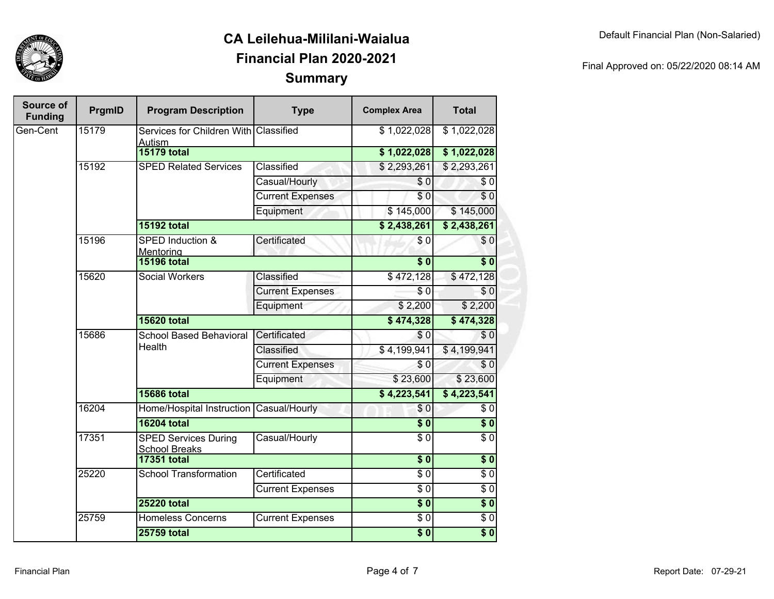

| Source of<br><b>Funding</b> | <b>PrgmID</b> | <b>Program Description</b>                          | <b>Type</b>             | <b>Complex Area</b> | <b>Total</b>     |
|-----------------------------|---------------|-----------------------------------------------------|-------------------------|---------------------|------------------|
| Gen-Cent                    | 15179         | Services for Children With Classified<br>Autism     |                         | \$1,022,028         | \$1,022,028      |
|                             |               | <b>15179 total</b>                                  |                         | \$1,022,028         | \$1,022,028      |
|                             | 15192         | <b>SPED Related Services</b>                        | Classified              | \$2,293,261         | \$2,293,261      |
|                             |               |                                                     | Casual/Hourly           | \$0                 | \$0              |
|                             |               |                                                     | <b>Current Expenses</b> | \$0                 | $\sqrt{6}$       |
|                             |               |                                                     | Equipment               | \$145,000           | \$145,000        |
|                             |               | <b>15192 total</b>                                  |                         | \$2,438,261         | \$2,438,261      |
|                             | 15196         | <b>SPED Induction &amp;</b><br>Mentoring            | Certificated            | \$0                 | \$0              |
|                             |               | <b>15196 total</b>                                  |                         | $\overline{\$}0$    | $\overline{\$0}$ |
|                             | 15620         | <b>Social Workers</b>                               | Classified              | \$472,128           | \$472,128        |
|                             |               |                                                     | <b>Current Expenses</b> | \$0                 | \$0              |
|                             |               |                                                     | Equipment               | \$2,200             | \$2,200          |
|                             |               | <b>15620 total</b>                                  |                         | $\sqrt{474,328}$    | \$474,328        |
|                             | 15686         | <b>School Based Behavioral</b><br>Health            | Certificated            | $\sqrt{6}$          | \$0              |
|                             |               |                                                     | Classified              | \$4,199,941         | \$4,199,941      |
|                             |               |                                                     | <b>Current Expenses</b> | \$0                 | \$0              |
|                             |               |                                                     | Equipment               | \$23,600            | \$23,600         |
|                             |               | <b>15686 total</b>                                  |                         | \$4,223,541         | \$4,223,541      |
|                             | 16204         | Home/Hospital Instruction                           | Casual/Hourly           | \$0                 | \$0              |
|                             |               | <b>16204 total</b>                                  |                         | $\overline{\$}0$    | \$0              |
|                             | 17351         | <b>SPED Services During</b><br><b>School Breaks</b> | Casual/Hourly           | $\overline{30}$     | $\overline{\$0}$ |
|                             |               | <b>17351 total</b>                                  |                         | $\overline{\$0}$    | $\overline{\$}0$ |
|                             | 25220         | <b>School Transformation</b>                        | Certificated            | $\overline{\$0}$    | $\overline{\$0}$ |
|                             |               |                                                     | <b>Current Expenses</b> | $\overline{\$0}$    | $\sqrt{6}$       |
|                             |               | <b>25220 total</b>                                  |                         | $\overline{\$0}$    | $\overline{\$0}$ |
|                             | 25759         | <b>Homeless Concerns</b>                            | <b>Current Expenses</b> | $\overline{\$0}$    | $\sqrt{6}$       |
|                             |               | <b>25759 total</b>                                  |                         | $\overline{\$0}$    | $\overline{\$0}$ |

Final Approved on: 05/22/2020 08:14 AM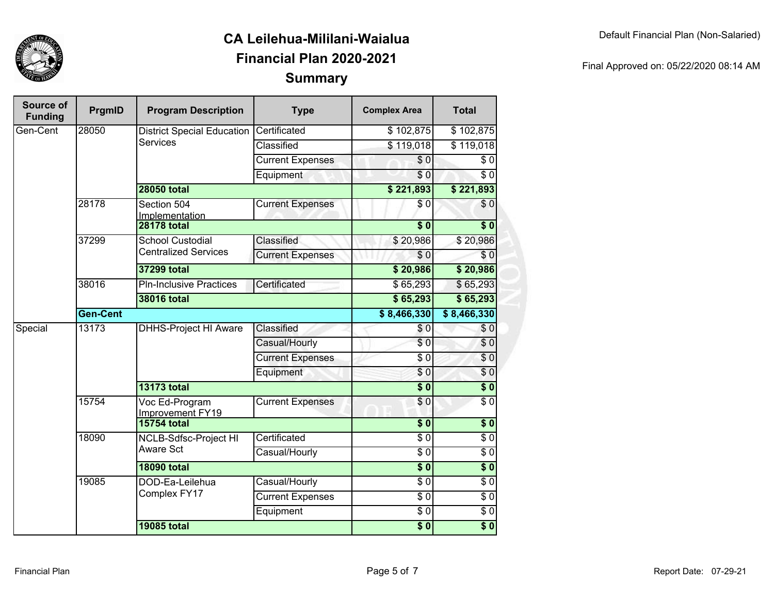

| Final Approved on: 05/22/2020 08:14 AM |  |
|----------------------------------------|--|
|                                        |  |

| Source of<br><b>Funding</b> | PrgmID          | <b>Program Description</b>         | <b>Type</b>             | <b>Complex Area</b>  | <b>Total</b>             |
|-----------------------------|-----------------|------------------------------------|-------------------------|----------------------|--------------------------|
| Gen-Cent                    | 28050           | <b>District Special Education</b>  | Certificated            | \$102,875            | \$102,875                |
|                             |                 | <b>Services</b>                    | Classified              | \$119,018            | \$119,018                |
|                             |                 |                                    | <b>Current Expenses</b> | $\overline{\$0}$     | $\overline{\$0}$         |
|                             |                 |                                    | Equipment               | \$0                  | $\overline{30}$          |
|                             |                 | <b>28050 total</b>                 |                         | \$221,893            | \$221,893                |
|                             | 28178           | Section 504<br>Implementation      | <b>Current Expenses</b> | \$0                  | $\sqrt{6}$               |
|                             |                 | <b>28178 total</b>                 |                         | $\overline{\bullet}$ | $\overline{\bullet}$     |
|                             | 37299           | <b>School Custodial</b>            | Classified              | \$20,986             | \$20,986                 |
|                             |                 | <b>Centralized Services</b>        | <b>Current Expenses</b> | $\overline{30}$      | $\sqrt{6}$               |
|                             |                 | 37299 total                        |                         | \$20,986             | \$20,986                 |
|                             | 38016           | <b>PIn-Inclusive Practices</b>     | Certificated            | \$65,293             | \$65,293                 |
|                             |                 | <b>38016 total</b>                 |                         |                      | \$65,293                 |
|                             | <b>Gen-Cent</b> |                                    |                         | \$8,466,330          | \$8,466,330              |
| Special                     | 13173           | <b>DHHS-Project HI Aware</b>       | Classified              | \$0                  | $\overline{\$}0$         |
|                             |                 |                                    | Casual/Hourly           | $\overline{\$0}$     | $\sqrt{6}$               |
|                             |                 |                                    | <b>Current Expenses</b> | \$0                  | $\overline{\$0}$         |
|                             |                 |                                    | Equipment               | $\sqrt{6}$           | $\overline{\$0}$         |
|                             |                 | <b>13173 total</b>                 |                         | $\sqrt{6}$           | $\overline{\textbf{50}}$ |
|                             | 15754           | Voc Ed-Program<br>Improvement FY19 | <b>Current Expenses</b> | $\overline{30}$      | $\overline{\$0}$         |
|                             |                 | <b>15754 total</b>                 |                         | $\overline{\$0}$     | $\sqrt{6}$               |
|                             | 18090           | NCLB-Sdfsc-Project HI              | Certificated            | $\sqrt{6}$           | $\sqrt{6}$               |
|                             |                 | Aware Sct                          | Casual/Hourly           | $\sqrt{6}$           | $\sqrt{6}$               |
|                             |                 | <b>18090 total</b>                 |                         | $\overline{\$}0$     | $\sqrt{6}$               |
|                             | 19085           | DOD-Ea-Leilehua                    | Casual/Hourly           | \$0                  | \$0                      |
|                             |                 | Complex FY17                       | <b>Current Expenses</b> | $\sqrt{6}$           | $\sqrt{6}$               |
|                             |                 |                                    | Equipment               | $\sqrt{6}$           | $\sqrt{6}$               |
|                             |                 | <b>19085 total</b>                 |                         | $\overline{\$}0$     | $\sqrt{6}$               |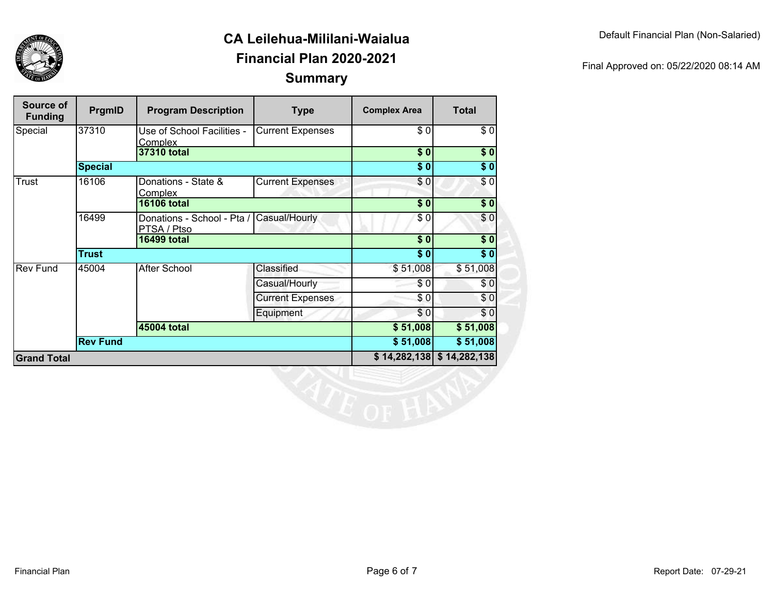

| Final Approved on: 05/22/2020 08:14 AM |  |
|----------------------------------------|--|
|                                        |  |

| Source of<br><b>Funding</b> | PrgmID          | <b>Program Description</b>                              | <b>Type</b>             | <b>Complex Area</b>  | <b>Total</b>     |
|-----------------------------|-----------------|---------------------------------------------------------|-------------------------|----------------------|------------------|
| Special                     | 37310           | Use of School Facilities -<br><b>Complex</b>            | <b>Current Expenses</b> | $\overline{\$0}$     | \$0              |
|                             |                 | 37310 total                                             |                         | $\overline{\$0}$     | \$0              |
|                             | <b>Special</b>  |                                                         |                         | $\overline{\$0}$     | $\sqrt{6}$       |
| Trust                       | 16106           | Donations - State &<br>Complex                          | <b>Current Expenses</b> | \$0                  | $\sqrt{6}$       |
|                             |                 | <b>16106 total</b>                                      |                         | $\overline{\$0}$     | \$0              |
|                             | 16499           | Donations - School - Pta / Casual/Hourly<br>PTSA / Ptso |                         | \$0                  | \$0              |
|                             |                 | <b>16499 total</b>                                      |                         | $\overline{\$0}$     | \$0              |
|                             | <b>Trust</b>    |                                                         |                         | $\overline{\bullet}$ | $\overline{\$0}$ |
| <b>Rev Fund</b>             | 45004           | <b>After School</b>                                     | Classified              | \$51,008             | \$51,008         |
|                             |                 |                                                         | Casual/Hourly           | \$0                  | \$0              |
|                             |                 |                                                         | <b>Current Expenses</b> | \$0                  | \$0              |
|                             |                 |                                                         | Equipment               | \$0                  | \$0              |
|                             |                 | 45004 total                                             |                         | \$51,008             | \$51,008         |
|                             | <b>Rev Fund</b> |                                                         |                         | \$51,008             | \$51,008         |
| <b>Grand Total</b>          |                 |                                                         |                         | \$14,282,138         | \$14,282,138     |